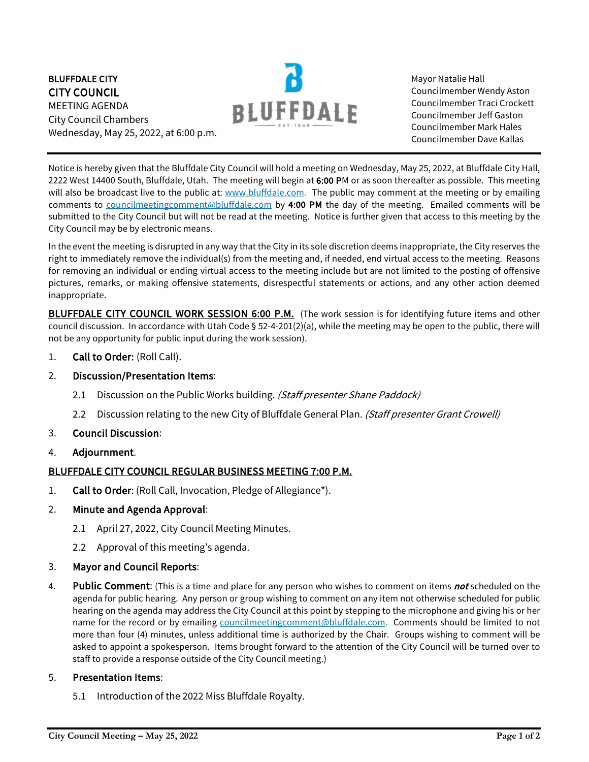BLUFFDALE CITY CITY COUNCIL MEETING AGENDA City Council Chambers Wednesday, May 25, 2022, at 6:00 p.m.



Mayor Natalie Hall Councilmember Wendy Aston Councilmember Traci Crockett Councilmember Jeff Gaston Councilmember Mark Hales Councilmember Dave Kallas

Notice is hereby given that the Bluffdale City Council will hold a meeting on Wednesday, May 25, 2022, at Bluffdale City Hall, 2222 West 14400 South, Bluffdale, Utah. The meeting will begin at 6:00 PM or as soon thereafter as possible. This meeting will also be broadcast live to the public at: [www.bluffdale.com.](http://www.bluffdale.com/) The public may comment at the meeting or by emailing comments to [councilmeetingcomment@bluffdale.com](mailto:councilmeetingcomment@bluffdale.com) by 4:00 PM the day of the meeting. Emailed comments will be submitted to the City Council but will not be read at the meeting. Notice is further given that access to this meeting by the City Council may be by electronic means.

In the event the meeting is disrupted in any way that the City in its sole discretion deems inappropriate, the City reserves the right to immediately remove the individual(s) from the meeting and, if needed, end virtual access to the meeting. Reasons for removing an individual or ending virtual access to the meeting include but are not limited to the posting of offensive pictures, remarks, or making offensive statements, disrespectful statements or actions, and any other action deemed inappropriate.

BLUFFDALE CITY COUNCIL WORK SESSION 6:00 P.M. (The work session is for identifying future items and other council discussion. In accordance with Utah Code § 52-4-201(2)(a), while the meeting may be open to the public, there will not be any opportunity for public input during the work session).

- 1. Call to Order: (Roll Call).
- 2. Discussion/Presentation Items:
	- 2.1 Discussion on the Public Works building. (Staff presenter Shane Paddock)
	- 2.2 Discussion relating to the new City of Bluffdale General Plan. (Staff presenter Grant Crowell)
- 3. Council Discussion:
- 4. Adjournment.

## BLUFFDALE CITY COUNCIL REGULAR BUSINESS MEETING 7:00 P.M.

- 1. Call to Order: (Roll Call, Invocation, Pledge of Allegiance\*).
- 2. Minute and Agenda Approval:
	- 2.1 April 27, 2022, City Council Meeting Minutes.
	- 2.2 Approval of this meeting's agenda.

## 3. Mayor and Council Reports:

4. Public Comment: (This is a time and place for any person who wishes to comment on items not scheduled on the agenda for public hearing. Any person or group wishing to comment on any item not otherwise scheduled for public hearing on the agenda may address the City Council at this point by stepping to the microphone and giving his or her name for the record or by emailing [councilmeetingcomment@bluffdale.com.](mailto:councilmeetingcomment@bluffdale.com) Comments should be limited to not more than four (4) minutes, unless additional time is authorized by the Chair. Groups wishing to comment will be asked to appoint a spokesperson. Items brought forward to the attention of the City Council will be turned over to staff to provide a response outside of the City Council meeting.)

## 5. Presentation Items:

5.1 Introduction of the 2022 Miss Bluffdale Royalty.